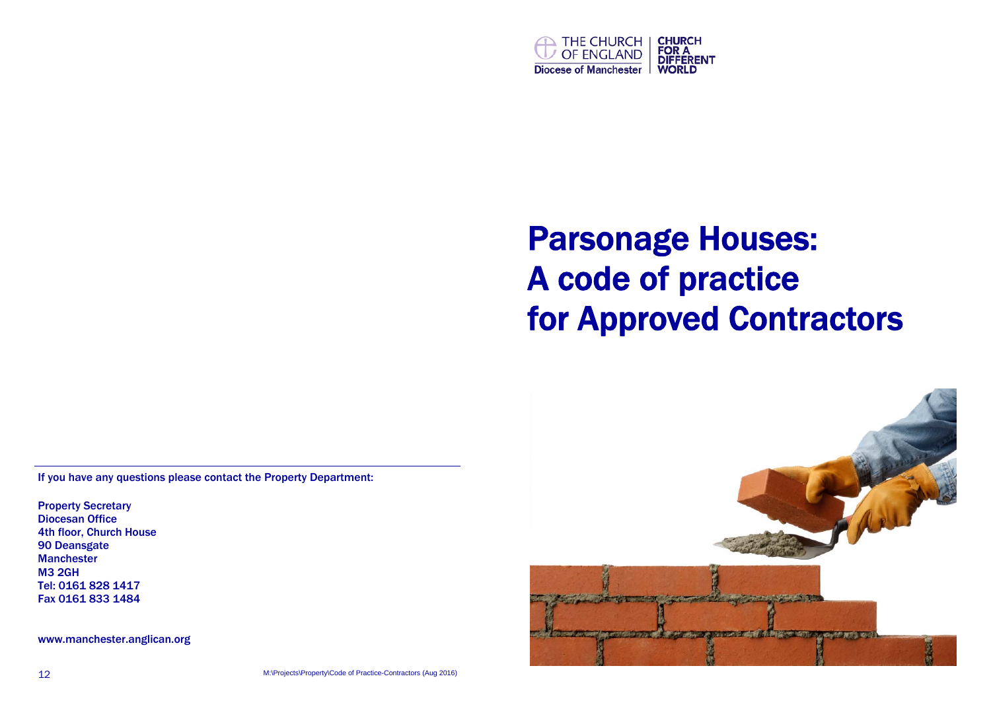

# Parsonage Houses: A code of practice for Approved Contractors

If you have any questions please contact the Property Department:

Property Secretary Diocesan Office 4th floor, Church House 90 Deansgate Manchester M3 2GH Tel: 0161 828 1417 Fax 0161 833 1484

www.manchester.anglican.org

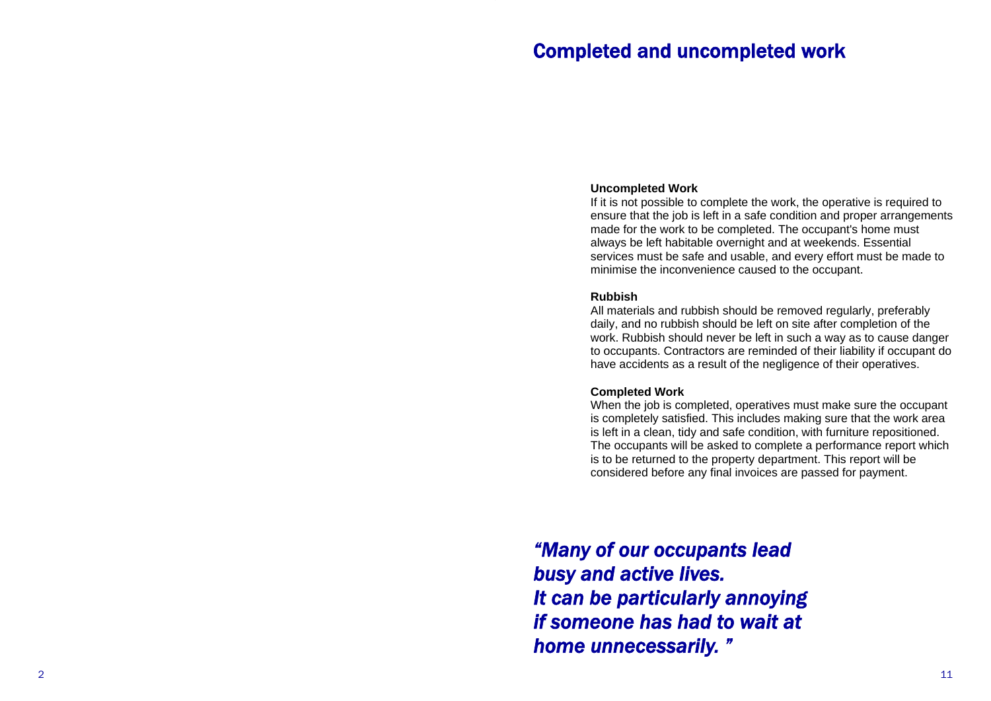## Completed and uncompleted work

### **Uncompleted Work**

If it is not possible to complete the work, the operative is required to ensure that the job is left in a safe condition and proper arrangements made for the work to be completed. The occupant's home must always be left habitable overnight and at weekends. Essential services must be safe and usable, and every effort must be made to minimise the inconvenience caused to the occupant.

### **Rubbish**

All materials and rubbish should be removed regularly, preferably daily, and no rubbish should be left on site after completion of the work. Rubbish should never be left in such a way as to cause danger to occupants. Contractors are reminded of their liability if occupant do have accidents as a result of the negligence of their operatives.

#### **Completed Work**

When the job is completed, operatives must make sure the occupant is completely satisfied. This includes making sure that the work area is left in a clean, tidy and safe condition, with furniture repositioned. The occupants will be asked to complete a performance report which is to be returned to the property department. This report will be considered before any final invoices are passed for payment.

*"Many of our occupants lead busy and active lives. It can be particularly annoying if someone has had to wait at home unnecessarily. "*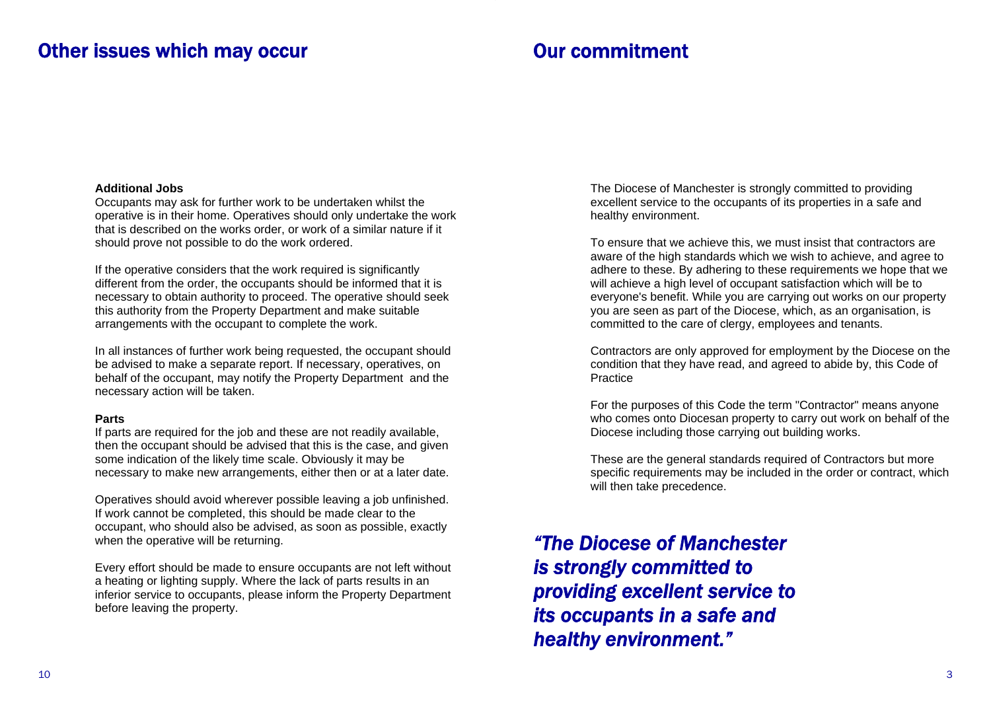### Other issues which may occur

# Our commitment

### **Additional Jobs**

Occupants may ask for further work to be undertaken whilst the operative is in their home. Operatives should only undertake the work that is described on the works order, or work of a similar nature if it should prove not possible to do the work ordered.

If the operative considers that the work required is significantly different from the order, the occupants should be informed that it is necessary to obtain authority to proceed. The operative should seek this authority from the Property Department and make suitable arrangements with the occupant to complete the work.

In all instances of further work being requested, the occupant should be advised to make a separate report. If necessary, operatives, on behalf of the occupant, may notify the Property Department and the necessary action will be taken.

### **Parts**

If parts are required for the job and these are not readily available, then the occupant should be advised that this is the case, and given some indication of the likely time scale. Obviously it may be necessary to make new arrangements, either then or at a later date.

Operatives should avoid wherever possible leaving a job unfinished. If work cannot be completed, this should be made clear to the occupant, who should also be advised, as soon as possible, exactly when the operative will be returning.

Every effort should be made to ensure occupants are not left without a heating or lighting supply. Where the lack of parts results in an inferior service to occupants, please inform the Property Department before leaving the property.

The Diocese of Manchester is strongly committed to providing excellent service to the occupants of its properties in a safe and healthy environment.

To ensure that we achieve this, we must insist that contractors are aware of the high standards which we wish to achieve, and agree to adhere to these. By adhering to these requirements we hope that we will achieve a high level of occupant satisfaction which will be to everyone's benefit. While you are carrying out works on our property you are seen as part of the Diocese, which, as an organisation, is committed to the care of clergy, employees and tenants.

Contractors are only approved for employment by the Diocese on the condition that they have read, and agreed to abide by, this Code of **Practice** 

For the purposes of this Code the term "Contractor" means anyone who comes onto Diocesan property to carry out work on behalf of the Diocese including those carrying out building works.

These are the general standards required of Contractors but more specific requirements may be included in the order or contract, which will then take precedence.

*"The Diocese of Manchester is strongly committed to providing excellent service to its occupants in a safe and healthy environment."*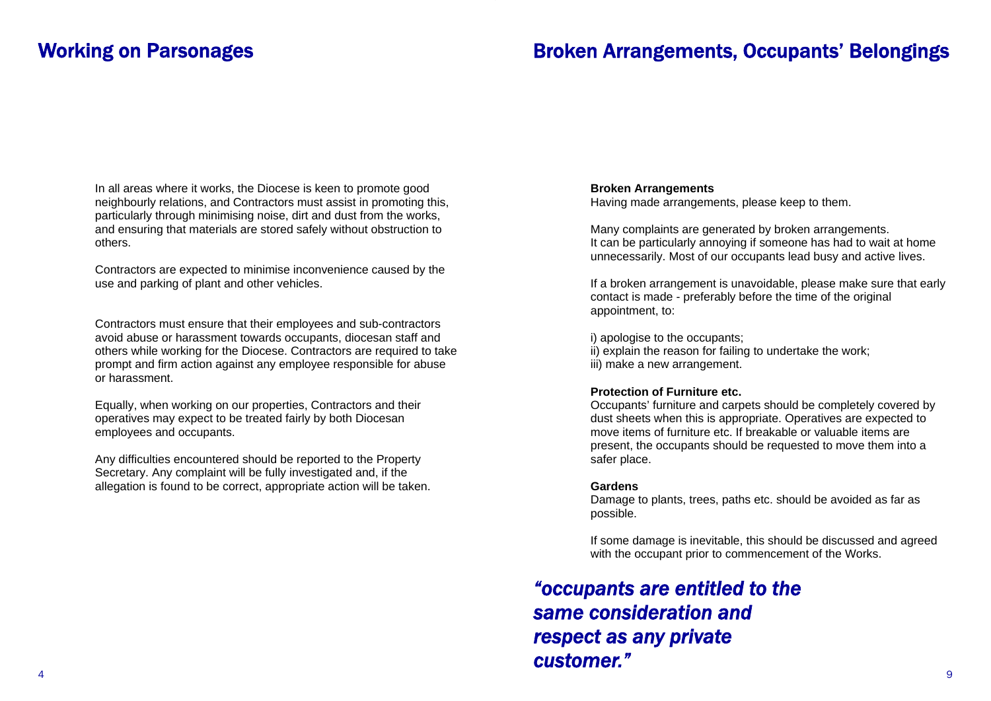### Broken Arrangements, Occupants' Belongings

In all areas where it works, the Diocese is keen to promote good neighbourly relations, and Contractors must assist in promoting this, particularly through minimising noise, dirt and dust from the works, and ensuring that materials are stored safely without obstruction to others.

Contractors are expected to minimise inconvenience caused by the use and parking of plant and other vehicles.

Contractors must ensure that their employees and sub-contractors avoid abuse or harassment towards occupants, diocesan staff and others while working for the Diocese. Contractors are required to take prompt and firm action against any employee responsible for abuse or harassment.

Equally, when working on our properties, Contractors and their operatives may expect to be treated fairly by both Diocesan employees and occupants.

Any difficulties encountered should be reported to the Property Secretary. Any complaint will be fully investigated and, if the allegation is found to be correct, appropriate action will be taken.

### **Broken Arrangements**

Having made arrangements, please keep to them.

Many complaints are generated by broken arrangements. It can be particularly annoying if someone has had to wait at home unnecessarily. Most of our occupants lead busy and active lives.

If a broken arrangement is unavoidable, please make sure that early contact is made - preferably before the time of the original appointment, to:

i) apologise to the occupants; ii) explain the reason for failing to undertake the work;

iii) make a new arrangement.

### **Protection of Furniture etc.**

Occupants' furniture and carpets should be completely covered by dust sheets when this is appropriate. Operatives are expected to move items of furniture etc. If breakable or valuable items are present, the occupants should be requested to move them into a safer place.

#### **Gardens**

Damage to plants, trees, paths etc. should be avoided as far as possible.

If some damage is inevitable, this should be discussed and agreed with the occupant prior to commencement of the Works.

# *"occupants are entitled to the same consideration and respect as any private customer."*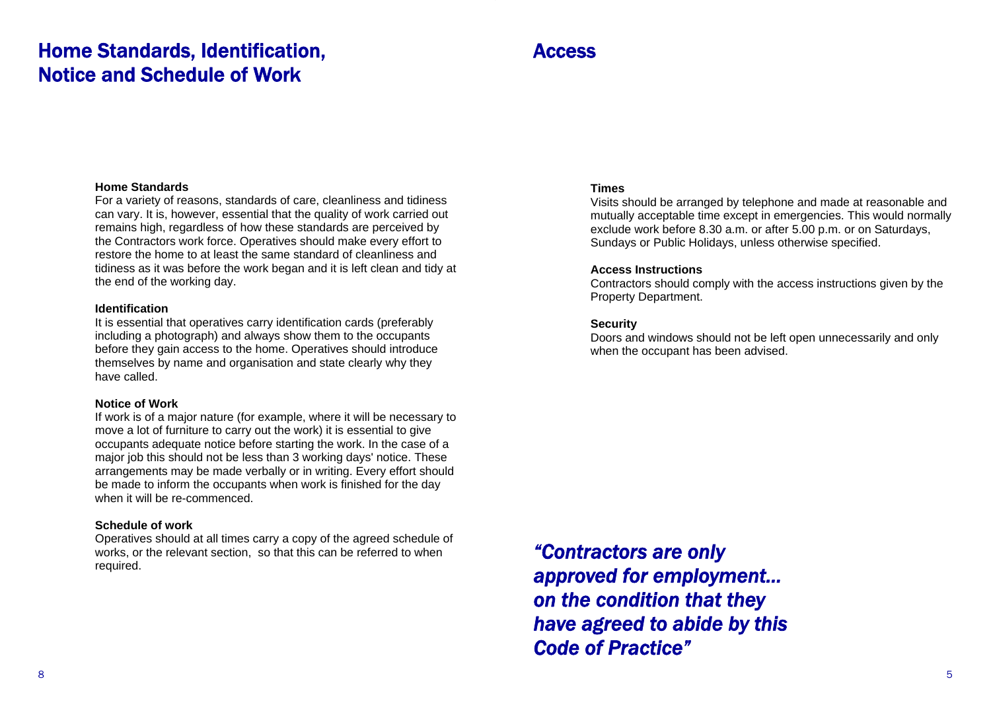# Home Standards, Identification, Notice and Schedule of Work

### Access

#### **Home Standards**

For a variety of reasons, standards of care, cleanliness and tidiness can vary. It is, however, essential that the quality of work carried out remains high, regardless of how these standards are perceived by the Contractors work force. Operatives should make every effort to restore the home to at least the same standard of cleanliness and tidiness as it was before the work began and it is left clean and tidy at the end of the working day.

### **Identification**

It is essential that operatives carry identification cards (preferably including a photograph) and always show them to the occupants before they gain access to the home. Operatives should introduce themselves by name and organisation and state clearly why they have called.

### **Notice of Work**

If work is of a major nature (for example, where it will be necessary to move a lot of furniture to carry out the work) it is essential to give occupants adequate notice before starting the work. In the case of a major job this should not be less than 3 working days' notice. These arrangements may be made verbally or in writing. Every effort should be made to inform the occupants when work is finished for the day when it will be re-commenced.

### **Schedule of work**

Operatives should at all times carry a copy of the agreed schedule of works, or the relevant section, so that this can be referred to when required.

### **Times**

Visits should be arranged by telephone and made at reasonable and mutually acceptable time except in emergencies. This would normally exclude work before 8.30 a.m. or after 5.00 p.m. or on Saturdays, Sundays or Public Holidays, unless otherwise specified.

### **Access Instructions**

Contractors should comply with the access instructions given by the Property Department.

### **Security**

Doors and windows should not be left open unnecessarily and only when the occupant has been advised.

*"Contractors are only approved for employment… on the condition that they have agreed to abide by this Code of Practice"*